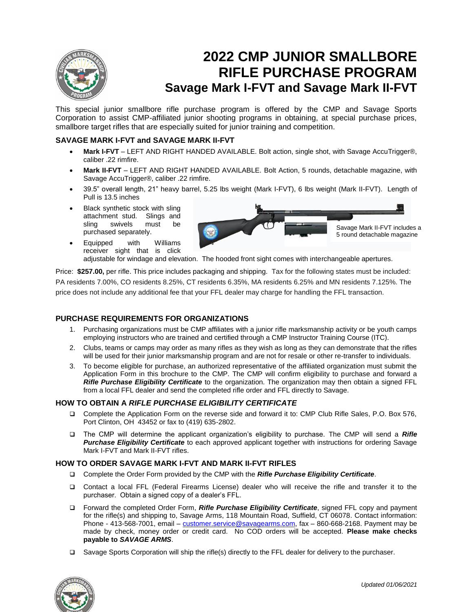

# **2022 CMP JUNIOR SMALLBORE RIFLE PURCHASE PROGRAM Savage Mark I-FVT and Savage Mark II-FVT**

This special junior smallbore rifle purchase program is offered by the CMP and Savage Sports Corporation to assist CMP-affiliated junior shooting programs in obtaining, at special purchase prices, smallbore target rifles that are especially suited for junior training and competition.

## **SAVAGE MARK I-FVT and SAVAGE MARK II-FVT**

- **Mark I-FVT** LEFT AND RIGHT HANDED AVAILABLE. Bolt action, single shot, with Savage AccuTrigger®, caliber .22 rimfire.
- **Mark II-FVT** LEFT AND RIGHT HANDED AVAILABLE. Bolt Action, 5 rounds, detachable magazine, with Savage AccuTrigger®, caliber .22 rimfire.
- 39.5" overall length, 21" heavy barrel, 5.25 lbs weight (Mark I-FVT), 6 lbs weight (Mark II-FVT). Length of Pull is 13.5 inches
- Black synthetic stock with sling attachment stud. Slings and sling swivels must be purchased separately.
- Equipped with Williams receiver sight that is click



adjustable for windage and elevation. The hooded front sight comes with interchangeable apertures.

Price: **\$257.00,** per rifle. This price includes packaging and shipping. Tax for the following states must be included: PA residents 7.00%, CO residents 8.25%, CT residents 6.35%, MA residents 6.25% and MN residents 7.125%. The price does not include any additional fee that your FFL dealer may charge for handling the FFL transaction.

### **PURCHASE REQUIREMENTS FOR ORGANIZATIONS**

- 1. Purchasing organizations must be CMP affiliates with a junior rifle marksmanship activity or be youth camps employing instructors who are trained and certified through a CMP Instructor Training Course (ITC).
- 2. Clubs, teams or camps may order as many rifles as they wish as long as they can demonstrate that the rifles will be used for their junior marksmanship program and are not for resale or other re-transfer to individuals.
- 3. To become eligible for purchase, an authorized representative of the affiliated organization must submit the Application Form in this brochure to the CMP. The CMP will confirm eligibility to purchase and forward a *Rifle Purchase Eligibility Certificate* to the organization. The organization may then obtain a signed FFL from a local FFL dealer and send the completed rifle order and FFL directly to Savage.

#### **HOW TO OBTAIN A** *RIFLE PURCHASE ELIGIBILITY CERTIFICATE*

- Complete the Application Form on the reverse side and forward it to: CMP Club Rifle Sales, P.O. Box 576, Port Clinton, OH 43452 or fax to (419) 635-2802.
- The CMP will determine the applicant organization's eligibility to purchase. The CMP will send a *Rifle Purchase Eligibility Certificate* to each approved applicant together with instructions for ordering Savage Mark I-FVT and Mark II-FVT rifles.

#### **HOW TO ORDER SAVAGE MARK I-FVT AND MARK II-FVT RIFLES**

- Complete the Order Form provided by the CMP with the *Rifle Purchase Eligibility Certificate*.
- Contact a local FFL (Federal Firearms License) dealer who will receive the rifle and transfer it to the purchaser. Obtain a signed copy of a dealer's FFL.
- Forward the completed Order Form, *Rifle Purchase Eligibility Certificate*, signed FFL copy and payment for the rifle(s) and shipping to, Savage Arms, 118 Mountain Road, Suffield, CT 06078. Contact information: Phone - 413-568-7001, email – [customer.service@savagearms.com,](mailto:customer.service@savagearms.com) fax – 860-668-2168. Payment may be made by check, money order or credit card. No COD orders will be accepted. **Please make checks payable to** *SAVAGE ARMS*.
- □ Savage Sports Corporation will ship the rifle(s) directly to the FFL dealer for delivery to the purchaser.